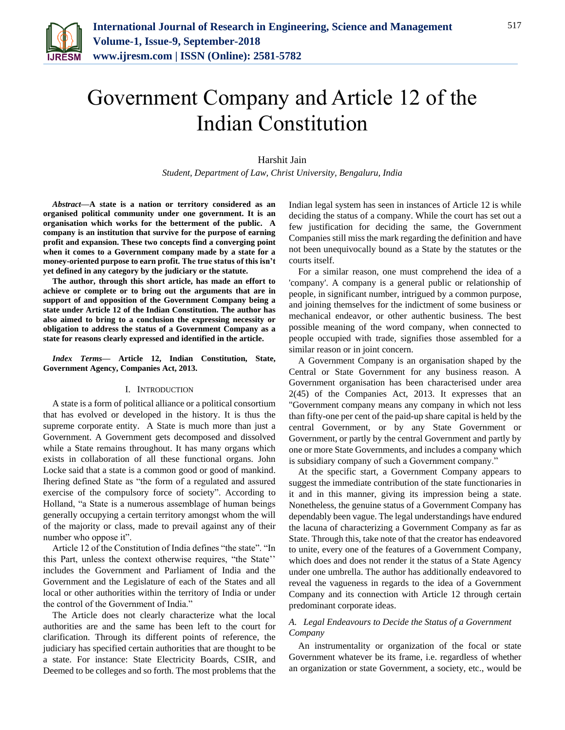

# Government Company and Article 12 of the Indian Constitution

Harshit Jain *Student, Department of Law, Christ University, Bengaluru, India*

*Abstract***—A state is a nation or territory considered as an organised political community under one government. It is an organisation which works for the betterment of the public. A company is an institution that survive for the purpose of earning profit and expansion. These two concepts find a converging point when it comes to a Government company made by a state for a money-oriented purpose to earn profit. The true status of this isn't yet defined in any category by the judiciary or the statute.**

**The author, through this short article, has made an effort to achieve or complete or to bring out the arguments that are in support of and opposition of the Government Company being a state under Article 12 of the Indian Constitution. The author has also aimed to bring to a conclusion the expressing necessity or obligation to address the status of a Government Company as a state for reasons clearly expressed and identified in the article.**

*Index Terms***— Article 12, Indian Constitution, State, Government Agency, Companies Act, 2013.**

#### I. INTRODUCTION

A state is a form of political alliance or a political consortium that has evolved or developed in the history. It is thus the supreme corporate entity. A State is much more than just a Government. A Government gets decomposed and dissolved while a State remains throughout. It has many organs which exists in collaboration of all these functional organs. John Locke said that a state is a common good or good of mankind. Ihering defined State as "the form of a regulated and assured exercise of the compulsory force of society". According to Holland, "a State is a numerous assemblage of human beings generally occupying a certain territory amongst whom the will of the majority or class, made to prevail against any of their number who oppose it".

Article 12 of the Constitution of India defines "the state". "In this Part, unless the context otherwise requires, "the State'' includes the Government and Parliament of India and the Government and the Legislature of each of the States and all local or other authorities within the territory of India or under the control of the Government of India."

The Article does not clearly characterize what the local authorities are and the same has been left to the court for clarification. Through its different points of reference, the judiciary has specified certain authorities that are thought to be a state. For instance: State Electricity Boards, CSIR, and Deemed to be colleges and so forth. The most problems that the

Indian legal system has seen in instances of Article 12 is while deciding the status of a company. While the court has set out a few justification for deciding the same, the Government Companies still miss the mark regarding the definition and have not been unequivocally bound as a State by the statutes or the courts itself.

For a similar reason, one must comprehend the idea of a 'company'. A company is a general public or relationship of people, in significant number, intrigued by a common purpose, and joining themselves for the indictment of some business or mechanical endeavor, or other authentic business. The best possible meaning of the word company, when connected to people occupied with trade, signifies those assembled for a similar reason or in joint concern.

A Government Company is an organisation shaped by the Central or State Government for any business reason. A Government organisation has been characterised under area 2(45) of the Companies Act, 2013. It expresses that an "Government company means any company in which not less than fifty-one per cent of the paid-up share capital is held by the central Government, or by any State Government or Government, or partly by the central Government and partly by one or more State Governments, and includes a company which is subsidiary company of such a Government company."

At the specific start, a Government Company appears to suggest the immediate contribution of the state functionaries in it and in this manner, giving its impression being a state. Nonetheless, the genuine status of a Government Company has dependably been vague. The legal understandings have endured the lacuna of characterizing a Government Company as far as State. Through this, take note of that the creator has endeavored to unite, every one of the features of a Government Company, which does and does not render it the status of a State Agency under one umbrella. The author has additionally endeavored to reveal the vagueness in regards to the idea of a Government Company and its connection with Article 12 through certain predominant corporate ideas.

## *A. Legal Endeavours to Decide the Status of a Government Company*

An instrumentality or organization of the focal or state Government whatever be its frame, i.e. regardless of whether an organization or state Government, a society, etc., would be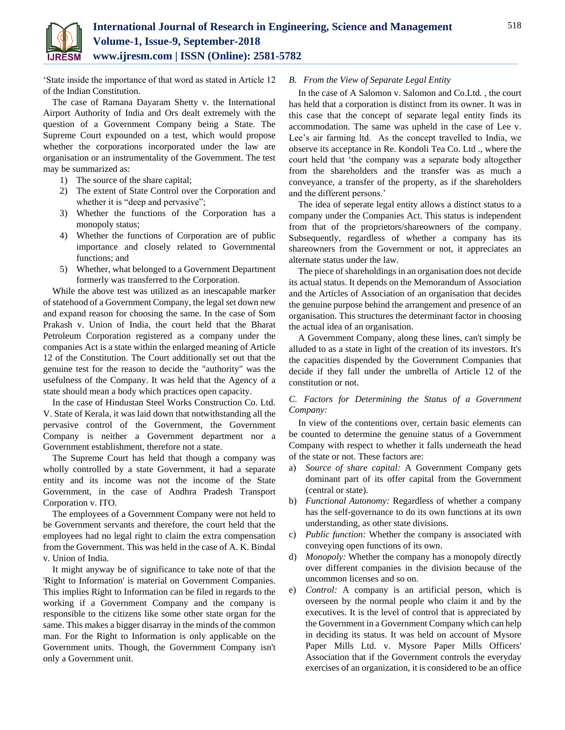

'State inside the importance of that word as stated in Article 12 of the Indian Constitution.

The case of Ramana Dayaram Shetty v. the International Airport Authority of India and Ors dealt extremely with the question of a Government Company being a State. The Supreme Court expounded on a test, which would propose whether the corporations incorporated under the law are organisation or an instrumentality of the Government. The test may be summarized as:

- 1) The source of the share capital;
- 2) The extent of State Control over the Corporation and whether it is "deep and pervasive";
- 3) Whether the functions of the Corporation has a monopoly status;
- 4) Whether the functions of Corporation are of public importance and closely related to Governmental functions; and
- 5) Whether, what belonged to a Government Department formerly was transferred to the Corporation.

While the above test was utilized as an inescapable marker of statehood of a Government Company, the legal set down new and expand reason for choosing the same. In the case of Som Prakash v. Union of India, the court held that the Bharat Petroleum Corporation registered as a company under the companies Act is a state within the enlarged meaning of Article 12 of the Constitution. The Court additionally set out that the genuine test for the reason to decide the "authority" was the usefulness of the Company. It was held that the Agency of a state should mean a body which practices open capacity.

In the case of Hindustan Steel Works Construction Co. Ltd. V. State of Kerala, it was laid down that notwithstanding all the pervasive control of the Government, the Government Company is neither a Government department nor a Government establishment, therefore not a state.

The Supreme Court has held that though a company was wholly controlled by a state Government, it had a separate entity and its income was not the income of the State Government, in the case of Andhra Pradesh Transport Corporation v. ITO.

The employees of a Government Company were not held to be Government servants and therefore, the court held that the employees had no legal right to claim the extra compensation from the Government. This was held in the case of A. K. Bindal v. Union of India.

It might anyway be of significance to take note of that the 'Right to Information' is material on Government Companies. This implies Right to Information can be filed in regards to the working if a Government Company and the company is responsible to the citizens like some other state organ for the same. This makes a bigger disarray in the minds of the common man. For the Right to Information is only applicable on the Government units. Though, the Government Company isn't only a Government unit.

### *B. From the View of Separate Legal Entity*

In the case of A Salomon v. Salomon and Co.Ltd. , the court has held that a corporation is distinct from its owner. It was in this case that the concept of separate legal entity finds its accommodation. The same was upheld in the case of Lee v. Lee's air farming ltd. As the concept travelled to India, we observe its acceptance in Re. Kondoli Tea Co. Ltd ., where the court held that 'the company was a separate body altogether from the shareholders and the transfer was as much a conveyance, a transfer of the property, as if the shareholders and the different persons.'

The idea of seperate legal entity allows a distinct status to a company under the Companies Act. This status is independent from that of the proprietors/shareowners of the company. Subsequently, regardless of whether a company has its shareowners from the Government or not, it appreciates an alternate status under the law.

The piece of shareholdings in an organisation does not decide its actual status. It depends on the Memorandum of Association and the Articles of Association of an organisation that decides the genuine purpose behind the arrangement and presence of an organisation. This structures the determinant factor in choosing the actual idea of an organisation.

A Government Company, along these lines, can't simply be alluded to as a state in light of the creation of its investors. It's the capacities dispended by the Government Companies that decide if they fall under the umbrella of Article 12 of the constitution or not.

*C. Factors for Determining the Status of a Government Company:*

In view of the contentions over, certain basic elements can be counted to determine the genuine status of a Government Company with respect to whether it falls underneath the head of the state or not. These factors are:

- a) *Source of share capital:* A Government Company gets dominant part of its offer capital from the Government (central or state).
- b) *Functional Autonomy:* Regardless of whether a company has the self-governance to do its own functions at its own understanding, as other state divisions.
- c) *Public function:* Whether the company is associated with conveying open functions of its own.
- d) *Monopoly:* Whether the company has a monopoly directly over different companies in the division because of the uncommon licenses and so on.
- e) *Control:* A company is an artificial person, which is overseen by the normal people who claim it and by the executives. It is the level of control that is appreciated by the Government in a Government Company which can help in deciding its status. It was held on account of Mysore Paper Mills Ltd. v. Mysore Paper Mills Officers' Association that if the Government controls the everyday exercises of an organization, it is considered to be an office